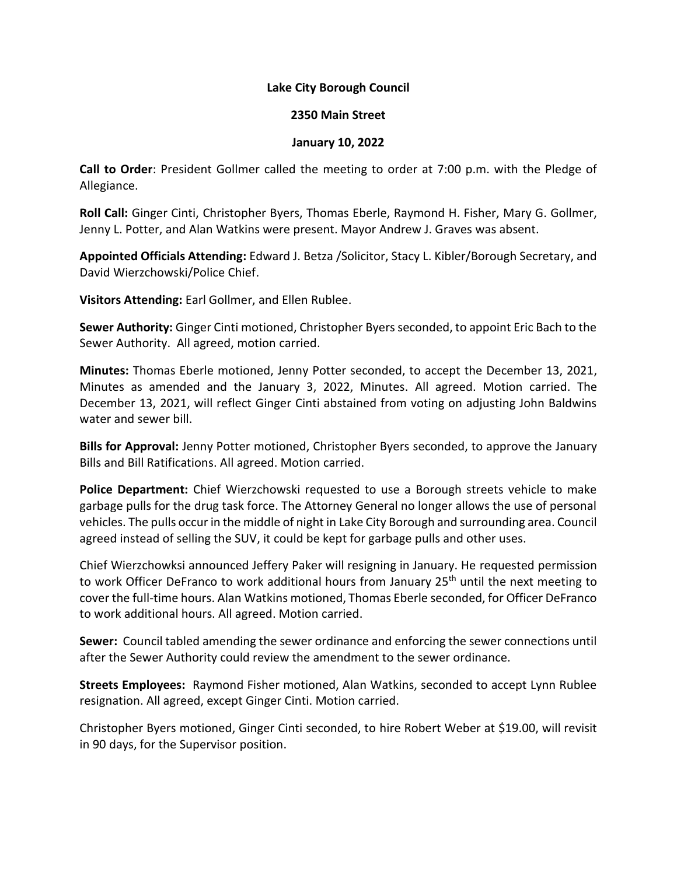## **Lake City Borough Council**

## **2350 Main Street**

## **January 10, 2022**

**Call to Order**: President Gollmer called the meeting to order at 7:00 p.m. with the Pledge of Allegiance.

**Roll Call:** Ginger Cinti, Christopher Byers, Thomas Eberle, Raymond H. Fisher, Mary G. Gollmer, Jenny L. Potter, and Alan Watkins were present. Mayor Andrew J. Graves was absent.

**Appointed Officials Attending:** Edward J. Betza /Solicitor, Stacy L. Kibler/Borough Secretary, and David Wierzchowski/Police Chief.

**Visitors Attending:** Earl Gollmer, and Ellen Rublee.

**Sewer Authority:** Ginger Cinti motioned, Christopher Byers seconded, to appoint Eric Bach to the Sewer Authority. All agreed, motion carried.

**Minutes:** Thomas Eberle motioned, Jenny Potter seconded, to accept the December 13, 2021, Minutes as amended and the January 3, 2022, Minutes. All agreed. Motion carried. The December 13, 2021, will reflect Ginger Cinti abstained from voting on adjusting John Baldwins water and sewer bill.

**Bills for Approval:** Jenny Potter motioned, Christopher Byers seconded, to approve the January Bills and Bill Ratifications. All agreed. Motion carried.

**Police Department:** Chief Wierzchowski requested to use a Borough streets vehicle to make garbage pulls for the drug task force. The Attorney General no longer allows the use of personal vehicles. The pulls occur in the middle of night in Lake City Borough and surrounding area. Council agreed instead of selling the SUV, it could be kept for garbage pulls and other uses.

Chief Wierzchowksi announced Jeffery Paker will resigning in January. He requested permission to work Officer DeFranco to work additional hours from January 25<sup>th</sup> until the next meeting to cover the full-time hours. Alan Watkins motioned, Thomas Eberle seconded, for Officer DeFranco to work additional hours. All agreed. Motion carried.

**Sewer:** Council tabled amending the sewer ordinance and enforcing the sewer connections until after the Sewer Authority could review the amendment to the sewer ordinance.

**Streets Employees:** Raymond Fisher motioned, Alan Watkins, seconded to accept Lynn Rublee resignation. All agreed, except Ginger Cinti. Motion carried.

Christopher Byers motioned, Ginger Cinti seconded, to hire Robert Weber at \$19.00, will revisit in 90 days, for the Supervisor position.